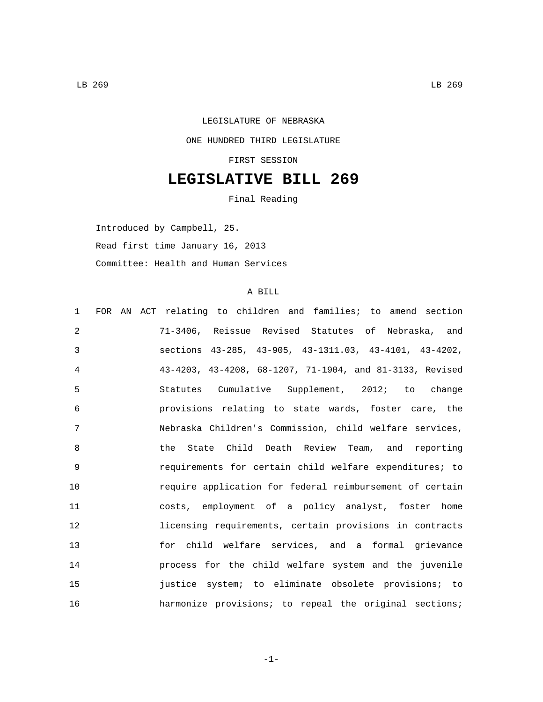## LEGISLATURE OF NEBRASKA ONE HUNDRED THIRD LEGISLATURE FIRST SESSION

## **LEGISLATIVE BILL 269**

Final Reading

Introduced by Campbell, 25. Read first time January 16, 2013 Committee: Health and Human Services

## A BILL

| FOR AN ACT relating to children and families; to amend section<br>$\mathbf 1$ |  |
|-------------------------------------------------------------------------------|--|
| 2<br>71-3406, Reissue Revised Statutes of Nebraska, and                       |  |
| 3<br>sections 43-285, 43-905, 43-1311.03, 43-4101, 43-4202,                   |  |
| 43-4203, 43-4208, 68-1207, 71-1904, and 81-3133, Revised<br>4                 |  |
| 5<br>Statutes Cumulative Supplement, 2012; to change                          |  |
| 6<br>provisions relating to state wards, foster care, the                     |  |
| 7<br>Nebraska Children's Commission, child welfare services,                  |  |
| 8<br>the State Child Death Review Team, and reporting                         |  |
| 9<br>requirements for certain child welfare expenditures; to                  |  |
| 10<br>require application for federal reimbursement of certain                |  |
| 11<br>costs, employment of a policy analyst, foster home                      |  |
| 12<br>licensing requirements, certain provisions in contracts                 |  |
| 13<br>for child welfare services, and a formal grievance                      |  |
| 14<br>process for the child welfare system and the juvenile                   |  |
| 15<br>justice system; to eliminate obsolete provisions; to                    |  |
| 16<br>harmonize provisions; to repeal the original sections;                  |  |

-1-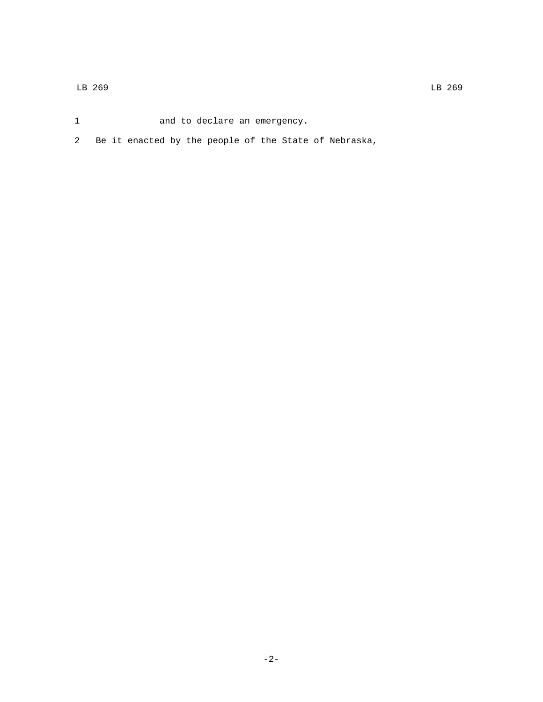- 1 and to declare an emergency.
- 2 Be it enacted by the people of the State of Nebraska,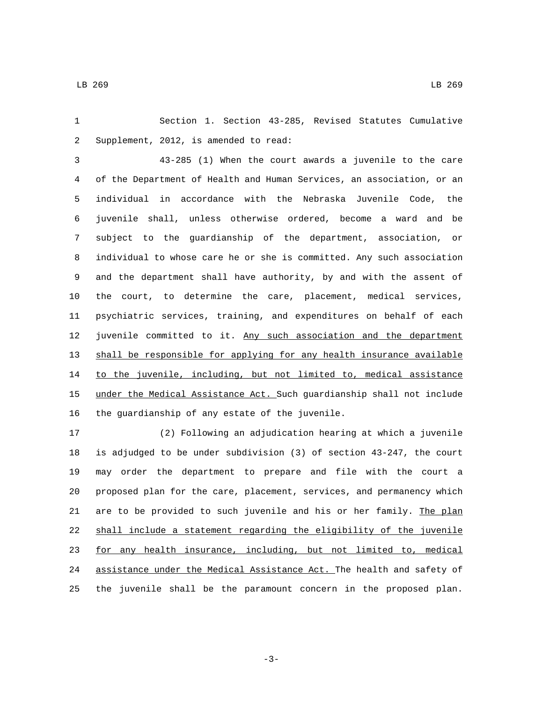Section 1. Section 43-285, Revised Statutes Cumulative 2 Supplement, 2012, is amended to read:

 43-285 (1) When the court awards a juvenile to the care of the Department of Health and Human Services, an association, or an individual in accordance with the Nebraska Juvenile Code, the juvenile shall, unless otherwise ordered, become a ward and be subject to the guardianship of the department, association, or individual to whose care he or she is committed. Any such association and the department shall have authority, by and with the assent of the court, to determine the care, placement, medical services, psychiatric services, training, and expenditures on behalf of each 12 juvenile committed to it. Any such association and the department shall be responsible for applying for any health insurance available 14 to the juvenile, including, but not limited to, medical assistance under the Medical Assistance Act. Such guardianship shall not include 16 the guardianship of any estate of the juvenile.

 (2) Following an adjudication hearing at which a juvenile is adjudged to be under subdivision (3) of section 43-247, the court may order the department to prepare and file with the court a proposed plan for the care, placement, services, and permanency which 21 are to be provided to such juvenile and his or her family. The plan shall include a statement regarding the eligibility of the juvenile for any health insurance, including, but not limited to, medical assistance under the Medical Assistance Act. The health and safety of the juvenile shall be the paramount concern in the proposed plan.

-3-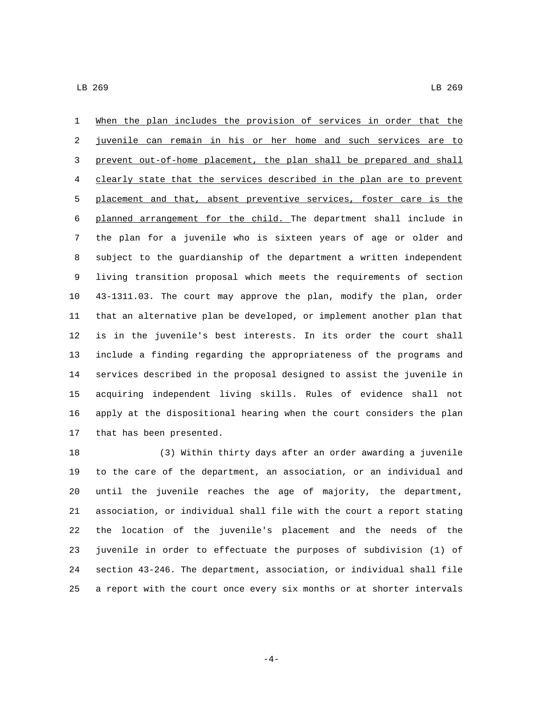When the plan includes the provision of services in order that the juvenile can remain in his or her home and such services are to prevent out-of-home placement, the plan shall be prepared and shall clearly state that the services described in the plan are to prevent 5 placement and that, absent preventive services, foster care is the planned arrangement for the child. The department shall include in the plan for a juvenile who is sixteen years of age or older and subject to the guardianship of the department a written independent living transition proposal which meets the requirements of section 43-1311.03. The court may approve the plan, modify the plan, order that an alternative plan be developed, or implement another plan that is in the juvenile's best interests. In its order the court shall include a finding regarding the appropriateness of the programs and services described in the proposal designed to assist the juvenile in acquiring independent living skills. Rules of evidence shall not apply at the dispositional hearing when the court considers the plan 17 that has been presented.

 (3) Within thirty days after an order awarding a juvenile to the care of the department, an association, or an individual and until the juvenile reaches the age of majority, the department, association, or individual shall file with the court a report stating the location of the juvenile's placement and the needs of the juvenile in order to effectuate the purposes of subdivision (1) of section 43-246. The department, association, or individual shall file a report with the court once every six months or at shorter intervals

-4-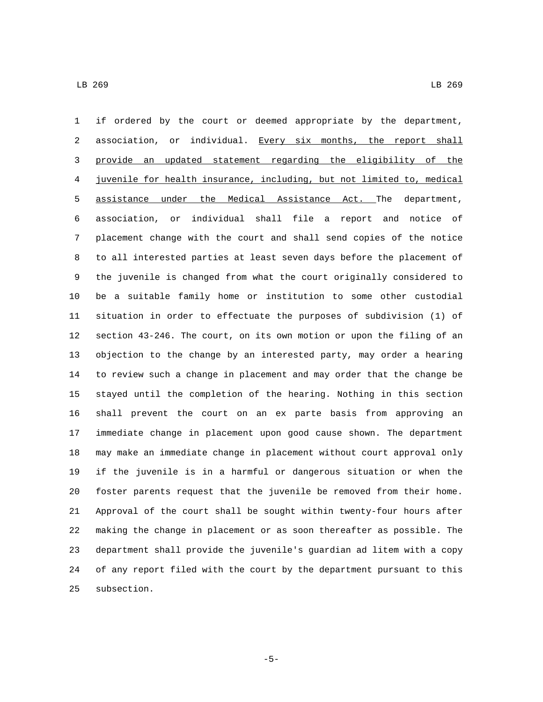if ordered by the court or deemed appropriate by the department, 2 association, or individual. Every six months, the report shall provide an updated statement regarding the eligibility of the juvenile for health insurance, including, but not limited to, medical assistance under the Medical Assistance Act. The department, association, or individual shall file a report and notice of placement change with the court and shall send copies of the notice to all interested parties at least seven days before the placement of the juvenile is changed from what the court originally considered to be a suitable family home or institution to some other custodial situation in order to effectuate the purposes of subdivision (1) of section 43-246. The court, on its own motion or upon the filing of an objection to the change by an interested party, may order a hearing to review such a change in placement and may order that the change be stayed until the completion of the hearing. Nothing in this section shall prevent the court on an ex parte basis from approving an immediate change in placement upon good cause shown. The department may make an immediate change in placement without court approval only if the juvenile is in a harmful or dangerous situation or when the foster parents request that the juvenile be removed from their home. Approval of the court shall be sought within twenty-four hours after making the change in placement or as soon thereafter as possible. The department shall provide the juvenile's guardian ad litem with a copy of any report filed with the court by the department pursuant to this 25 subsection.

-5-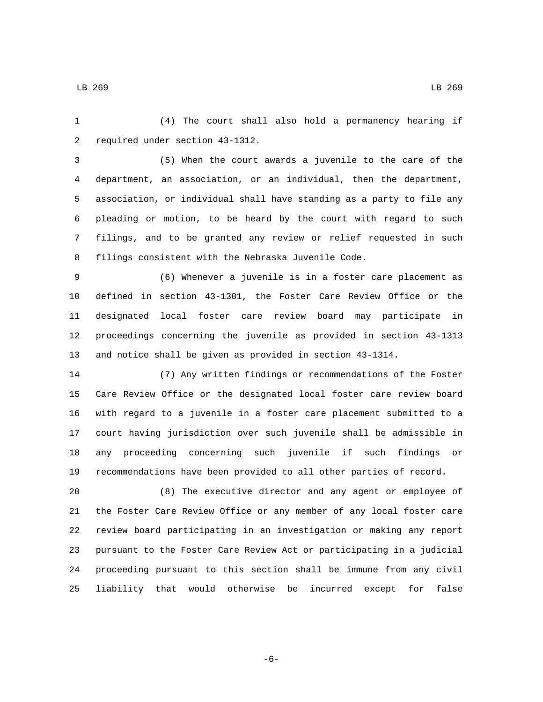(4) The court shall also hold a permanency hearing if 2 required under section 43-1312.

 (5) When the court awards a juvenile to the care of the department, an association, or an individual, then the department, association, or individual shall have standing as a party to file any pleading or motion, to be heard by the court with regard to such filings, and to be granted any review or relief requested in such filings consistent with the Nebraska Juvenile Code.

 (6) Whenever a juvenile is in a foster care placement as defined in section 43-1301, the Foster Care Review Office or the designated local foster care review board may participate in proceedings concerning the juvenile as provided in section 43-1313 and notice shall be given as provided in section 43-1314.

 (7) Any written findings or recommendations of the Foster Care Review Office or the designated local foster care review board with regard to a juvenile in a foster care placement submitted to a court having jurisdiction over such juvenile shall be admissible in any proceeding concerning such juvenile if such findings or recommendations have been provided to all other parties of record.

 (8) The executive director and any agent or employee of the Foster Care Review Office or any member of any local foster care review board participating in an investigation or making any report pursuant to the Foster Care Review Act or participating in a judicial proceeding pursuant to this section shall be immune from any civil liability that would otherwise be incurred except for false

LB 269 LB 269

-6-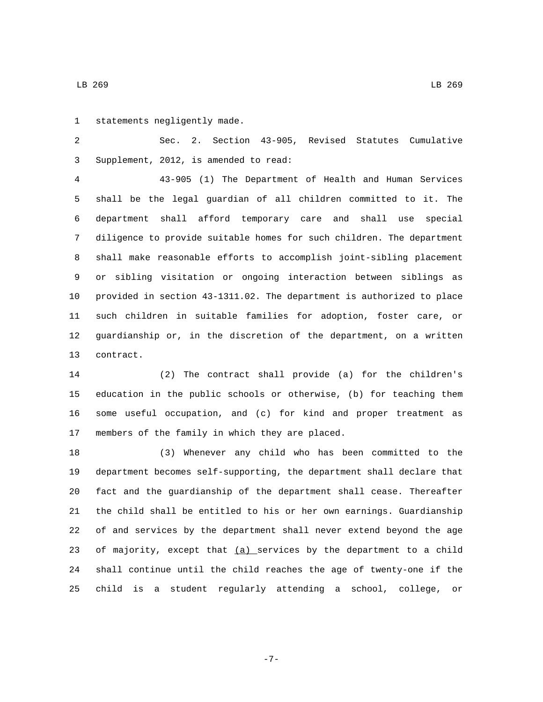1 statements negligently made.

 Sec. 2. Section 43-905, Revised Statutes Cumulative Supplement, 2012, is amended to read:3

 43-905 (1) The Department of Health and Human Services shall be the legal guardian of all children committed to it. The department shall afford temporary care and shall use special diligence to provide suitable homes for such children. The department shall make reasonable efforts to accomplish joint-sibling placement or sibling visitation or ongoing interaction between siblings as provided in section 43-1311.02. The department is authorized to place such children in suitable families for adoption, foster care, or guardianship or, in the discretion of the department, on a written 13 contract.

 (2) The contract shall provide (a) for the children's education in the public schools or otherwise, (b) for teaching them some useful occupation, and (c) for kind and proper treatment as 17 members of the family in which they are placed.

 (3) Whenever any child who has been committed to the department becomes self-supporting, the department shall declare that fact and the guardianship of the department shall cease. Thereafter the child shall be entitled to his or her own earnings. Guardianship of and services by the department shall never extend beyond the age 23 of majority, except that  $(a)$  services by the department to a child shall continue until the child reaches the age of twenty-one if the child is a student regularly attending a school, college, or

-7-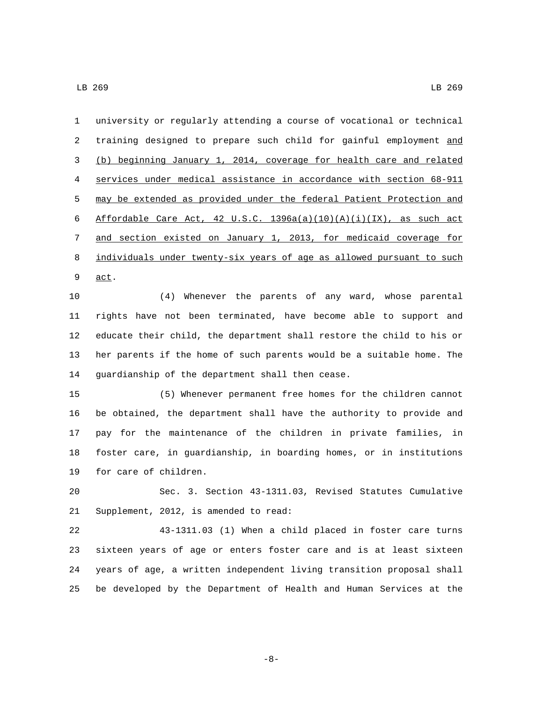university or regularly attending a course of vocational or technical training designed to prepare such child for gainful employment and (b) beginning January 1, 2014, coverage for health care and related services under medical assistance in accordance with section 68-911 may be extended as provided under the federal Patient Protection and 6 Affordable Care Act, 42 U.S.C.  $1396a(a)(10)(A)(i)(IX)$ , as such act and section existed on January 1, 2013, for medicaid coverage for individuals under twenty-six years of age as allowed pursuant to such 9 <u>act</u>.

 (4) Whenever the parents of any ward, whose parental rights have not been terminated, have become able to support and educate their child, the department shall restore the child to his or her parents if the home of such parents would be a suitable home. The 14 guardianship of the department shall then cease.

 (5) Whenever permanent free homes for the children cannot be obtained, the department shall have the authority to provide and pay for the maintenance of the children in private families, in foster care, in guardianship, in boarding homes, or in institutions 19 for care of children.

 Sec. 3. Section 43-1311.03, Revised Statutes Cumulative 21 Supplement, 2012, is amended to read:

 43-1311.03 (1) When a child placed in foster care turns sixteen years of age or enters foster care and is at least sixteen years of age, a written independent living transition proposal shall be developed by the Department of Health and Human Services at the

-8-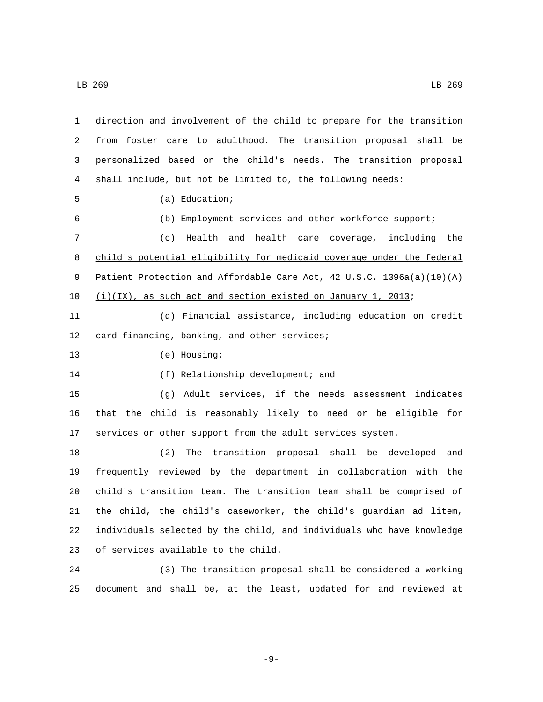| 1  | direction and involvement of the child to prepare for the transition  |
|----|-----------------------------------------------------------------------|
| 2  | from foster care to adulthood. The transition proposal shall be       |
| 3  | personalized based on the child's needs. The transition proposal      |
| 4  | shall include, but not be limited to, the following needs:            |
| 5  | $(a)$ Education;                                                      |
| 6  | (b) Employment services and other workforce support;                  |
| 7  | (c)<br>Health and health care coverage, including the                 |
| 8  | child's potential eligibility for medicaid coverage under the federal |
| 9  | Patient Protection and Affordable Care Act, 42 U.S.C. 1396a(a)(10)(A) |
| 10 | $(i)(IX)$ , as such act and section existed on January 1, 2013;       |
| 11 | (d) Financial assistance, including education on credit               |
| 12 | card financing, banking, and other services;                          |
| 13 | (e) Housing;                                                          |
| 14 | (f) Relationship development; and                                     |
| 15 | Adult services, if the needs assessment indicates<br>( ၂ )            |
| 16 | that the child is reasonably likely to need or be eligible for        |
| 17 | services or other support from the adult services system.             |
| 18 | (2)<br>The transition proposal shall be developed<br>and              |
| 19 | frequently reviewed by the department in collaboration with the       |
| 20 | child's transition team. The transition team shall be comprised of    |
| 21 | the child, the child's caseworker, the child's guardian ad litem,     |
| 22 | individuals selected by the child, and individuals who have knowledge |
| 23 | of services available to the child.                                   |
| 24 | (3) The transition proposal shall be considered a working             |

document and shall be, at the least, updated for and reviewed at

-9-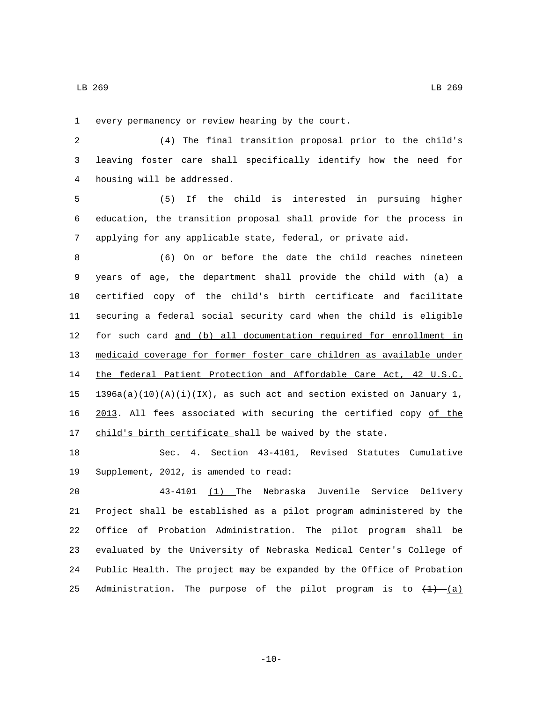1 every permanency or review hearing by the court.

 (4) The final transition proposal prior to the child's leaving foster care shall specifically identify how the need for 4 housing will be addressed.

 (5) If the child is interested in pursuing higher education, the transition proposal shall provide for the process in applying for any applicable state, federal, or private aid.

 (6) On or before the date the child reaches nineteen years of age, the department shall provide the child with (a) a certified copy of the child's birth certificate and facilitate securing a federal social security card when the child is eligible for such card and (b) all documentation required for enrollment in medicaid coverage for former foster care children as available under the federal Patient Protection and Affordable Care Act, 42 U.S.C.  $1396a(a)(10)(A)(i)(IX)$ , as such act and section existed on January 1, 2013. All fees associated with securing the certified copy of the 17 child's birth certificate shall be waived by the state.

 Sec. 4. Section 43-4101, Revised Statutes Cumulative 19 Supplement, 2012, is amended to read:

 43-4101 (1) The Nebraska Juvenile Service Delivery Project shall be established as a pilot program administered by the Office of Probation Administration. The pilot program shall be evaluated by the University of Nebraska Medical Center's College of Public Health. The project may be expanded by the Office of Probation 25 Administration. The purpose of the pilot program is to  $\left(\frac{1}{1}\right)$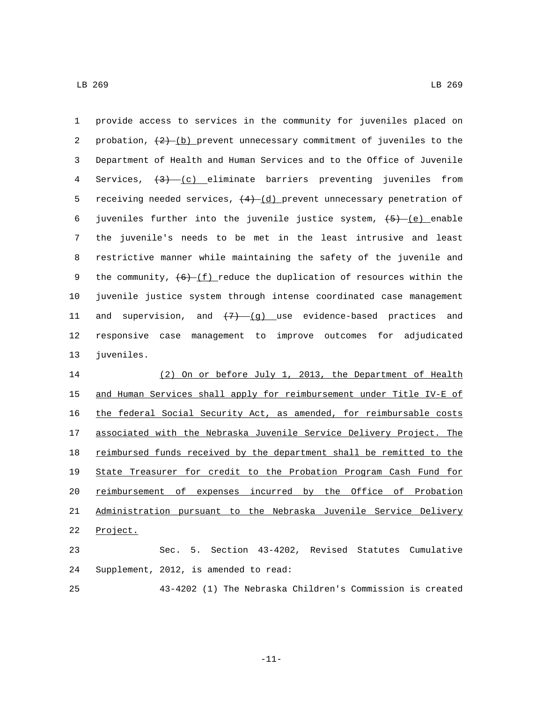1 provide access to services in the community for juveniles placed on 2 probation,  $(2)$  (b) prevent unnecessary commitment of juveniles to the 3 Department of Health and Human Services and to the Office of Juvenile 4 Services,  $\left(3\right)$  (c) eliminate barriers preventing juveniles from 5 receiving needed services,  $(4)$ - $(d)$  prevent unnecessary penetration of 6 juveniles further into the juvenile justice system,  $(5)-(e)$  enable 7 the juvenile's needs to be met in the least intrusive and least 8 restrictive manner while maintaining the safety of the juvenile and 9 the community,  $(6)$  (f) reduce the duplication of resources within the 10 juvenile justice system through intense coordinated case management 11 and supervision, and  $\left(\frac{7}{7}\right) - \left(\frac{9}{7}\right)$  use evidence-based practices and 12 responsive case management to improve outcomes for adjudicated 13 juveniles.

 (2) On or before July 1, 2013, the Department of Health 15 and Human Services shall apply for reimbursement under Title IV-E of the federal Social Security Act, as amended, for reimbursable costs associated with the Nebraska Juvenile Service Delivery Project. The 18 reimbursed funds received by the department shall be remitted to the State Treasurer for credit to the Probation Program Cash Fund for reimbursement of expenses incurred by the Office of Probation Administration pursuant to the Nebraska Juvenile Service Delivery 22 Project.

23 Sec. 5. Section 43-4202, Revised Statutes Cumulative 24 Supplement, 2012, is amended to read:

25 43-4202 (1) The Nebraska Children's Commission is created

-11-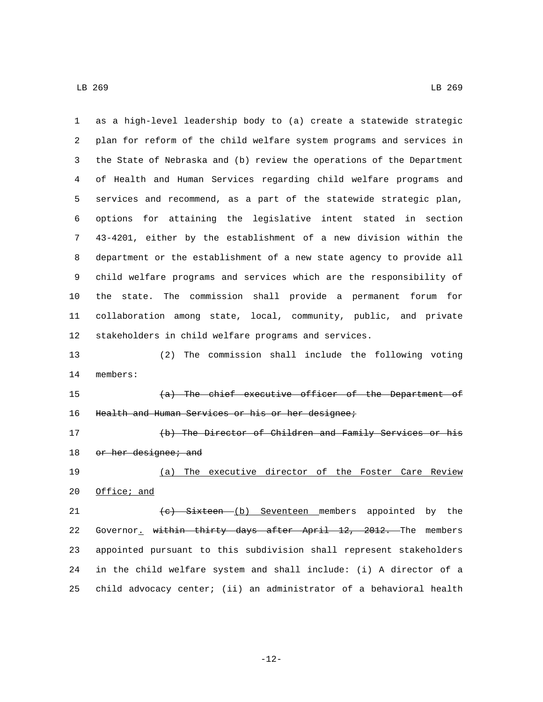as a high-level leadership body to (a) create a statewide strategic plan for reform of the child welfare system programs and services in the State of Nebraska and (b) review the operations of the Department of Health and Human Services regarding child welfare programs and services and recommend, as a part of the statewide strategic plan, options for attaining the legislative intent stated in section 43-4201, either by the establishment of a new division within the department or the establishment of a new state agency to provide all child welfare programs and services which are the responsibility of the state. The commission shall provide a permanent forum for collaboration among state, local, community, public, and private stakeholders in child welfare programs and services. (2) The commission shall include the following voting 14 members: (a) The chief executive officer of the Department of 16 Health and Human Services or his or her designee; (b) The Director of Children and Family Services or his 18 or her designee; and (a) The executive director of the Foster Care Review 20 Office; and 21 (c) Sixteen (b) Seventeen members appointed by the 22 Governor, within thirty days after April 12, 2012. The members appointed pursuant to this subdivision shall represent stakeholders in the child welfare system and shall include: (i) A director of a child advocacy center; (ii) an administrator of a behavioral health

-12-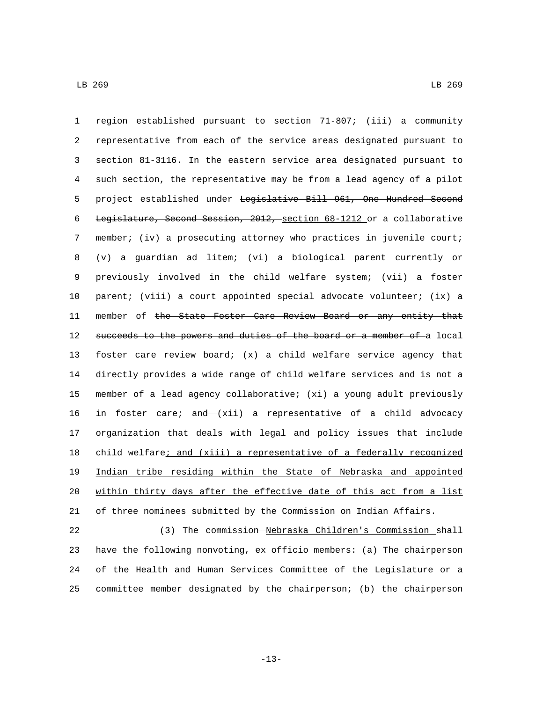region established pursuant to section 71-807; (iii) a community representative from each of the service areas designated pursuant to section 81-3116. In the eastern service area designated pursuant to such section, the representative may be from a lead agency of a pilot project established under Legislative Bill 961, One Hundred Second Legislature, Second Session, 2012, section 68-1212 or a collaborative member; (iv) a prosecuting attorney who practices in juvenile court; (v) a guardian ad litem; (vi) a biological parent currently or previously involved in the child welfare system; (vii) a foster parent; (viii) a court appointed special advocate volunteer; (ix) a 11 member of the State Foster Care Review Board or any entity that 12 succeeds to the powers and duties of the board or a member of a local foster care review board; (x) a child welfare service agency that directly provides a wide range of child welfare services and is not a member of a lead agency collaborative; (xi) a young adult previously 16 in foster care;  $\frac{and}{,}$  xii) a representative of a child advocacy organization that deals with legal and policy issues that include child welfare; and (xiii) a representative of a federally recognized Indian tribe residing within the State of Nebraska and appointed within thirty days after the effective date of this act from a list of three nominees submitted by the Commission on Indian Affairs.

 (3) The commission Nebraska Children's Commission shall have the following nonvoting, ex officio members: (a) The chairperson of the Health and Human Services Committee of the Legislature or a committee member designated by the chairperson; (b) the chairperson

-13-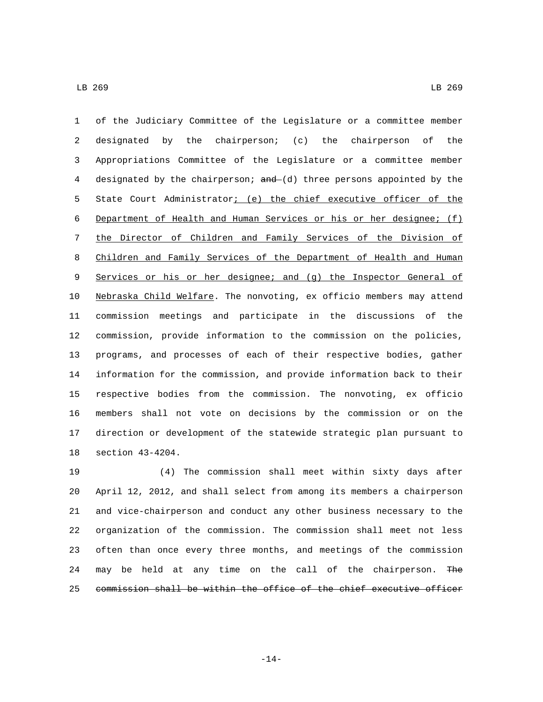of the Judiciary Committee of the Legislature or a committee member designated by the chairperson; (c) the chairperson of the Appropriations Committee of the Legislature or a committee member 4 designated by the chairperson; and (d) three persons appointed by the State Court Administrator; (e) the chief executive officer of the Department of Health and Human Services or his or her designee; (f) the Director of Children and Family Services of the Division of Children and Family Services of the Department of Health and Human Services or his or her designee; and (g) the Inspector General of Nebraska Child Welfare. The nonvoting, ex officio members may attend commission meetings and participate in the discussions of the commission, provide information to the commission on the policies, programs, and processes of each of their respective bodies, gather information for the commission, and provide information back to their respective bodies from the commission. The nonvoting, ex officio members shall not vote on decisions by the commission or on the direction or development of the statewide strategic plan pursuant to 18 section 43-4204.

 (4) The commission shall meet within sixty days after April 12, 2012, and shall select from among its members a chairperson and vice-chairperson and conduct any other business necessary to the organization of the commission. The commission shall meet not less often than once every three months, and meetings of the commission 24 may be held at any time on the call of the chairperson. The commission shall be within the office of the chief executive officer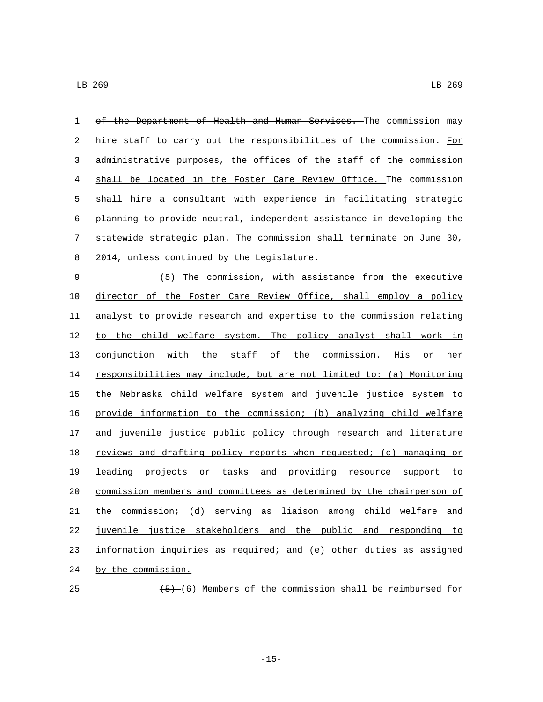1 of the Department of Health and Human Services. The commission may 2 hire staff to carry out the responsibilities of the commission. For administrative purposes, the offices of the staff of the commission shall be located in the Foster Care Review Office. The commission shall hire a consultant with experience in facilitating strategic planning to provide neutral, independent assistance in developing the statewide strategic plan. The commission shall terminate on June 30, 8 2014, unless continued by the Legislature. (5) The commission, with assistance from the executive director of the Foster Care Review Office, shall employ a policy analyst to provide research and expertise to the commission relating 12 to the child welfare system. The policy analyst shall work in conjunction with the staff of the commission. His or her responsibilities may include, but are not limited to: (a) Monitoring the Nebraska child welfare system and juvenile justice system to provide information to the commission; (b) analyzing child welfare 17 and juvenile justice public policy through research and literature 18 reviews and drafting policy reports when requested; (c) managing or leading projects or tasks and providing resource support to commission members and committees as determined by the chairperson of the commission; (d) serving as liaison among child welfare and juvenile justice stakeholders and the public and responding to information inquiries as required; and (e) other duties as assigned 24 by the commission.  $(5)$  (6) Members of the commission shall be reimbursed for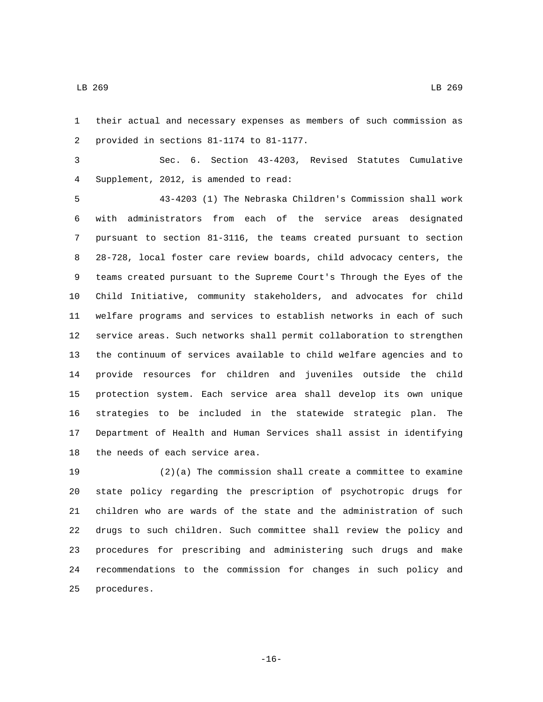their actual and necessary expenses as members of such commission as 2 provided in sections 81-1174 to 81-1177.

 Sec. 6. Section 43-4203, Revised Statutes Cumulative Supplement, 2012, is amended to read:4

 43-4203 (1) The Nebraska Children's Commission shall work with administrators from each of the service areas designated pursuant to section 81-3116, the teams created pursuant to section 28-728, local foster care review boards, child advocacy centers, the teams created pursuant to the Supreme Court's Through the Eyes of the Child Initiative, community stakeholders, and advocates for child welfare programs and services to establish networks in each of such service areas. Such networks shall permit collaboration to strengthen the continuum of services available to child welfare agencies and to provide resources for children and juveniles outside the child protection system. Each service area shall develop its own unique strategies to be included in the statewide strategic plan. The Department of Health and Human Services shall assist in identifying 18 the needs of each service area.

 (2)(a) The commission shall create a committee to examine state policy regarding the prescription of psychotropic drugs for children who are wards of the state and the administration of such drugs to such children. Such committee shall review the policy and procedures for prescribing and administering such drugs and make recommendations to the commission for changes in such policy and 25 procedures.

-16-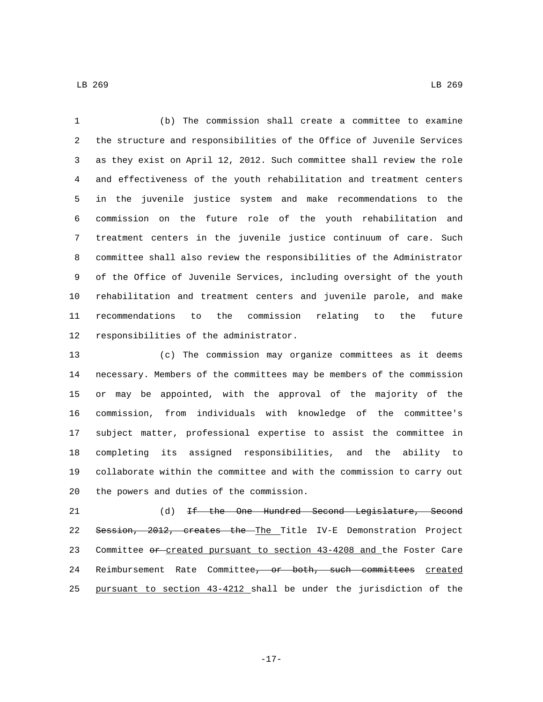(b) The commission shall create a committee to examine the structure and responsibilities of the Office of Juvenile Services as they exist on April 12, 2012. Such committee shall review the role and effectiveness of the youth rehabilitation and treatment centers in the juvenile justice system and make recommendations to the commission on the future role of the youth rehabilitation and treatment centers in the juvenile justice continuum of care. Such committee shall also review the responsibilities of the Administrator of the Office of Juvenile Services, including oversight of the youth rehabilitation and treatment centers and juvenile parole, and make recommendations to the commission relating to the future 12 responsibilities of the administrator.

 (c) The commission may organize committees as it deems necessary. Members of the committees may be members of the commission or may be appointed, with the approval of the majority of the commission, from individuals with knowledge of the committee's subject matter, professional expertise to assist the committee in completing its assigned responsibilities, and the ability to collaborate within the committee and with the commission to carry out 20 the powers and duties of the commission.

 (d) If the One Hundred Second Legislature, Second Session, 2012, creates the The Title IV-E Demonstration Project 23 Committee or created pursuant to section 43-4208 and the Foster Care 24 Reimbursement Rate Committee, or both, such committees created pursuant to section 43-4212 shall be under the jurisdiction of the

LB 269 LB 269

-17-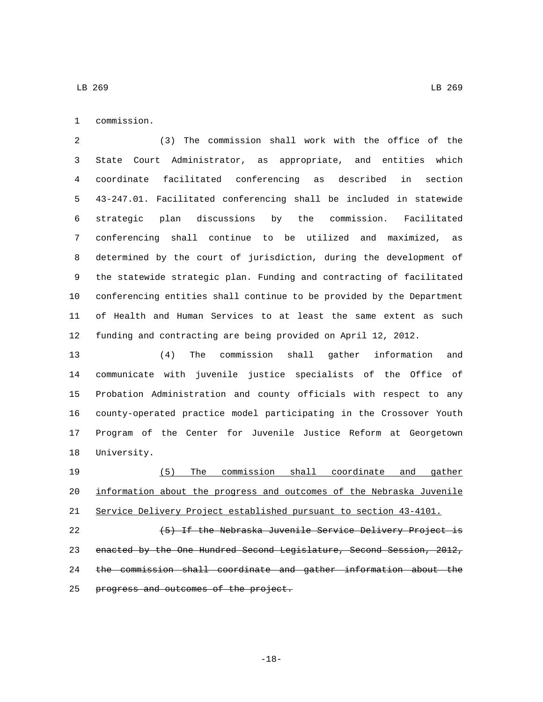1 commission.

 (3) The commission shall work with the office of the State Court Administrator, as appropriate, and entities which coordinate facilitated conferencing as described in section 43-247.01. Facilitated conferencing shall be included in statewide strategic plan discussions by the commission. Facilitated conferencing shall continue to be utilized and maximized, as determined by the court of jurisdiction, during the development of the statewide strategic plan. Funding and contracting of facilitated conferencing entities shall continue to be provided by the Department of Health and Human Services to at least the same extent as such funding and contracting are being provided on April 12, 2012.

 (4) The commission shall gather information and communicate with juvenile justice specialists of the Office of Probation Administration and county officials with respect to any county-operated practice model participating in the Crossover Youth Program of the Center for Juvenile Justice Reform at Georgetown 18 University.

 (5) The commission shall coordinate and gather information about the progress and outcomes of the Nebraska Juvenile Service Delivery Project established pursuant to section 43-4101. 22 (5) If the Nebraska Juvenile Service Delivery Project is enacted by the One Hundred Second Legislature, Second Session, 2012, the commission shall coordinate and gather information about the 25 progress and outcomes of the project.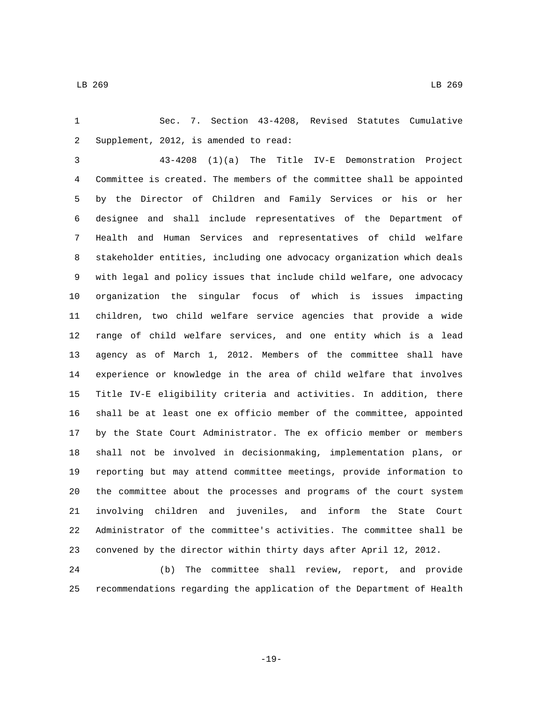Sec. 7. Section 43-4208, Revised Statutes Cumulative 2 Supplement, 2012, is amended to read:

 43-4208 (1)(a) The Title IV-E Demonstration Project Committee is created. The members of the committee shall be appointed by the Director of Children and Family Services or his or her designee and shall include representatives of the Department of Health and Human Services and representatives of child welfare stakeholder entities, including one advocacy organization which deals with legal and policy issues that include child welfare, one advocacy organization the singular focus of which is issues impacting children, two child welfare service agencies that provide a wide range of child welfare services, and one entity which is a lead agency as of March 1, 2012. Members of the committee shall have experience or knowledge in the area of child welfare that involves Title IV-E eligibility criteria and activities. In addition, there shall be at least one ex officio member of the committee, appointed by the State Court Administrator. The ex officio member or members shall not be involved in decisionmaking, implementation plans, or reporting but may attend committee meetings, provide information to the committee about the processes and programs of the court system involving children and juveniles, and inform the State Court Administrator of the committee's activities. The committee shall be convened by the director within thirty days after April 12, 2012.

 (b) The committee shall review, report, and provide recommendations regarding the application of the Department of Health

-19-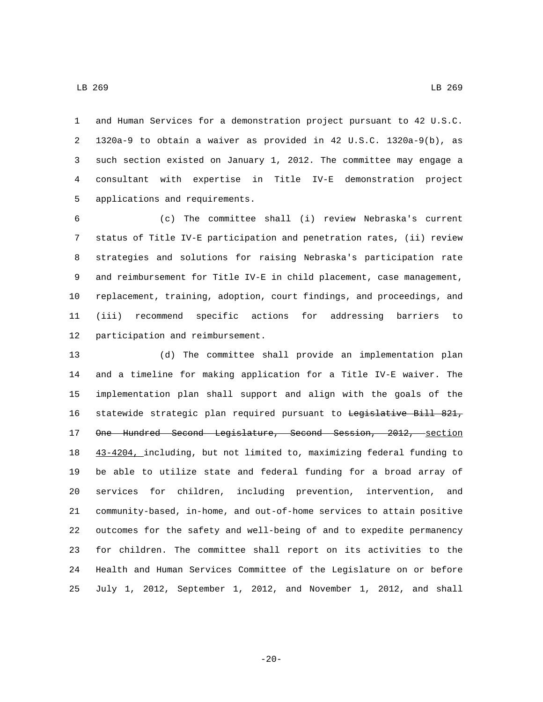and Human Services for a demonstration project pursuant to 42 U.S.C. 1320a-9 to obtain a waiver as provided in 42 U.S.C. 1320a-9(b), as such section existed on January 1, 2012. The committee may engage a consultant with expertise in Title IV-E demonstration project 5 applications and requirements.

 (c) The committee shall (i) review Nebraska's current status of Title IV-E participation and penetration rates, (ii) review strategies and solutions for raising Nebraska's participation rate and reimbursement for Title IV-E in child placement, case management, replacement, training, adoption, court findings, and proceedings, and (iii) recommend specific actions for addressing barriers to 12 participation and reimbursement.

 (d) The committee shall provide an implementation plan and a timeline for making application for a Title IV-E waiver. The implementation plan shall support and align with the goals of the 16 statewide strategic plan required pursuant to <del>Legislative Bill 821,</del> 17 One Hundred Second Legislature, Second Session, 2012, section 43-4204, including, but not limited to, maximizing federal funding to be able to utilize state and federal funding for a broad array of services for children, including prevention, intervention, and community-based, in-home, and out-of-home services to attain positive outcomes for the safety and well-being of and to expedite permanency for children. The committee shall report on its activities to the Health and Human Services Committee of the Legislature on or before July 1, 2012, September 1, 2012, and November 1, 2012, and shall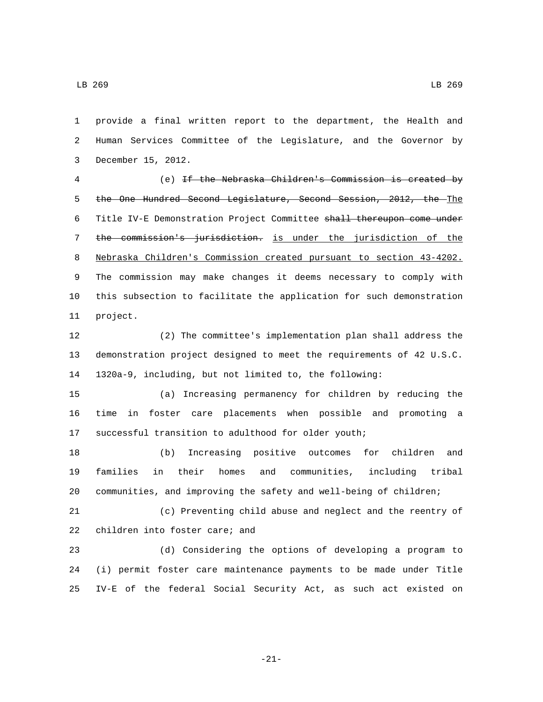provide a final written report to the department, the Health and Human Services Committee of the Legislature, and the Governor by 3 December 15, 2012.

 (e) If the Nebraska Children's Commission is created by the One Hundred Second Legislature, Second Session, 2012, the The Title IV-E Demonstration Project Committee shall thereupon come under the commission's jurisdiction. is under the jurisdiction of the Nebraska Children's Commission created pursuant to section 43-4202. The commission may make changes it deems necessary to comply with this subsection to facilitate the application for such demonstration 11 project.

 (2) The committee's implementation plan shall address the demonstration project designed to meet the requirements of 42 U.S.C. 1320a-9, including, but not limited to, the following:

 (a) Increasing permanency for children by reducing the time in foster care placements when possible and promoting a successful transition to adulthood for older youth;

 (b) Increasing positive outcomes for children and families in their homes and communities, including tribal communities, and improving the safety and well-being of children;

 (c) Preventing child abuse and neglect and the reentry of 22 children into foster care; and

 (d) Considering the options of developing a program to (i) permit foster care maintenance payments to be made under Title IV-E of the federal Social Security Act, as such act existed on

-21-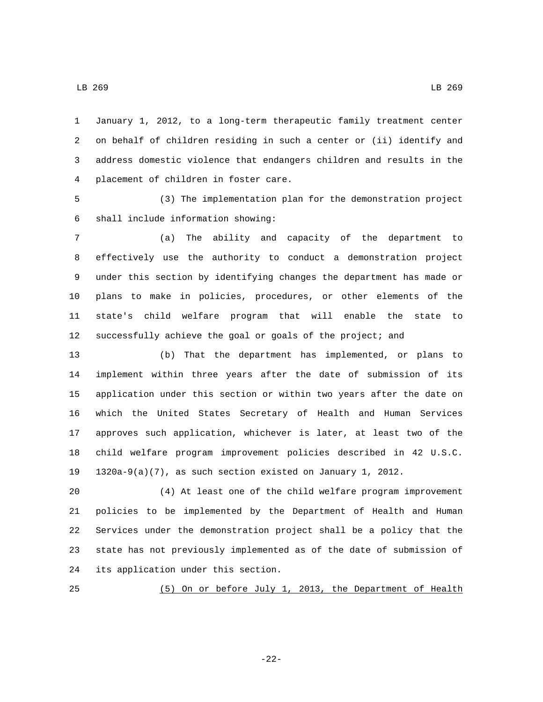January 1, 2012, to a long-term therapeutic family treatment center on behalf of children residing in such a center or (ii) identify and address domestic violence that endangers children and results in the 4 placement of children in foster care.

 (3) The implementation plan for the demonstration project shall include information showing:6

 (a) The ability and capacity of the department to effectively use the authority to conduct a demonstration project under this section by identifying changes the department has made or plans to make in policies, procedures, or other elements of the state's child welfare program that will enable the state to successfully achieve the goal or goals of the project; and

 (b) That the department has implemented, or plans to implement within three years after the date of submission of its application under this section or within two years after the date on which the United States Secretary of Health and Human Services approves such application, whichever is later, at least two of the child welfare program improvement policies described in 42 U.S.C. 1320a-9(a)(7), as such section existed on January 1, 2012.

 (4) At least one of the child welfare program improvement policies to be implemented by the Department of Health and Human Services under the demonstration project shall be a policy that the state has not previously implemented as of the date of submission of 24 its application under this section.

(5) On or before July 1, 2013, the Department of Health

-22-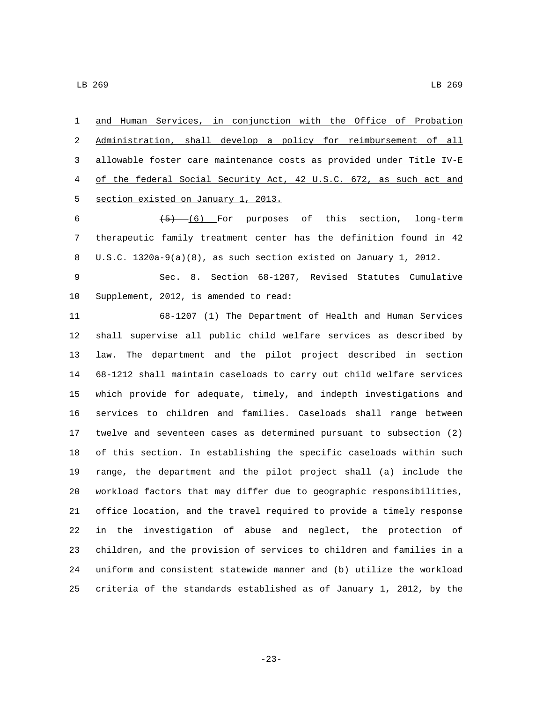and Human Services, in conjunction with the Office of Probation Administration, shall develop a policy for reimbursement of all allowable foster care maintenance costs as provided under Title IV-E of the federal Social Security Act, 42 U.S.C. 672, as such act and 5 section existed on January 1, 2013.

 $(5)$   $(6)$  For purposes of this section, long-term therapeutic family treatment center has the definition found in 42 U.S.C. 1320a-9(a)(8), as such section existed on January 1, 2012.

 Sec. 8. Section 68-1207, Revised Statutes Cumulative 10 Supplement, 2012, is amended to read:

 68-1207 (1) The Department of Health and Human Services shall supervise all public child welfare services as described by law. The department and the pilot project described in section 68-1212 shall maintain caseloads to carry out child welfare services which provide for adequate, timely, and indepth investigations and services to children and families. Caseloads shall range between twelve and seventeen cases as determined pursuant to subsection (2) of this section. In establishing the specific caseloads within such range, the department and the pilot project shall (a) include the workload factors that may differ due to geographic responsibilities, office location, and the travel required to provide a timely response in the investigation of abuse and neglect, the protection of children, and the provision of services to children and families in a uniform and consistent statewide manner and (b) utilize the workload criteria of the standards established as of January 1, 2012, by the

-23-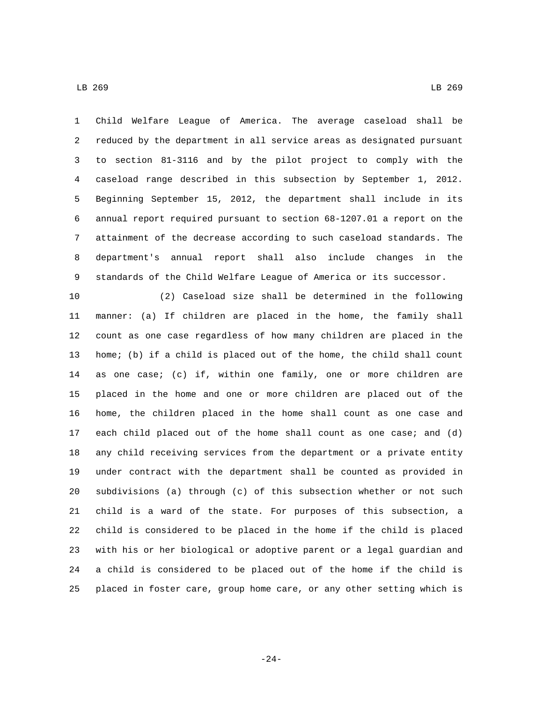Child Welfare League of America. The average caseload shall be reduced by the department in all service areas as designated pursuant to section 81-3116 and by the pilot project to comply with the caseload range described in this subsection by September 1, 2012. Beginning September 15, 2012, the department shall include in its annual report required pursuant to section 68-1207.01 a report on the attainment of the decrease according to such caseload standards. The department's annual report shall also include changes in the standards of the Child Welfare League of America or its successor.

 (2) Caseload size shall be determined in the following manner: (a) If children are placed in the home, the family shall count as one case regardless of how many children are placed in the home; (b) if a child is placed out of the home, the child shall count as one case; (c) if, within one family, one or more children are placed in the home and one or more children are placed out of the home, the children placed in the home shall count as one case and each child placed out of the home shall count as one case; and (d) any child receiving services from the department or a private entity under contract with the department shall be counted as provided in subdivisions (a) through (c) of this subsection whether or not such child is a ward of the state. For purposes of this subsection, a child is considered to be placed in the home if the child is placed with his or her biological or adoptive parent or a legal guardian and a child is considered to be placed out of the home if the child is placed in foster care, group home care, or any other setting which is

-24-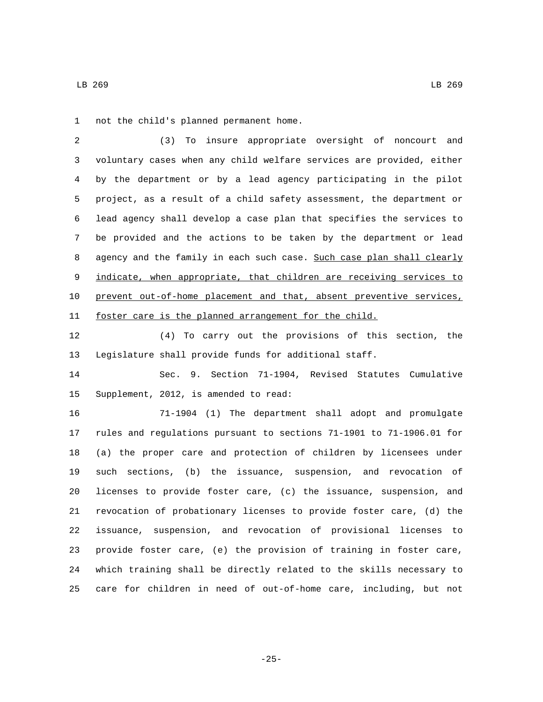1 not the child's planned permanent home.

 (3) To insure appropriate oversight of noncourt and voluntary cases when any child welfare services are provided, either by the department or by a lead agency participating in the pilot project, as a result of a child safety assessment, the department or lead agency shall develop a case plan that specifies the services to be provided and the actions to be taken by the department or lead 8 agency and the family in each such case. Such case plan shall clearly 9 indicate, when appropriate, that children are receiving services to prevent out-of-home placement and that, absent preventive services, foster care is the planned arrangement for the child.

 (4) To carry out the provisions of this section, the Legislature shall provide funds for additional staff.

 Sec. 9. Section 71-1904, Revised Statutes Cumulative 15 Supplement, 2012, is amended to read:

 71-1904 (1) The department shall adopt and promulgate rules and regulations pursuant to sections 71-1901 to 71-1906.01 for (a) the proper care and protection of children by licensees under such sections, (b) the issuance, suspension, and revocation of licenses to provide foster care, (c) the issuance, suspension, and revocation of probationary licenses to provide foster care, (d) the issuance, suspension, and revocation of provisional licenses to provide foster care, (e) the provision of training in foster care, which training shall be directly related to the skills necessary to care for children in need of out-of-home care, including, but not

-25-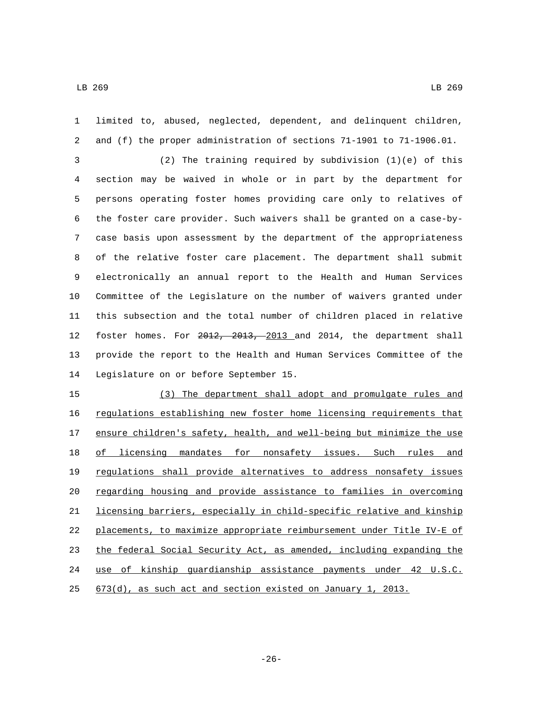limited to, abused, neglected, dependent, and delinquent children, and (f) the proper administration of sections 71-1901 to 71-1906.01. (2) The training required by subdivision (1)(e) of this section may be waived in whole or in part by the department for persons operating foster homes providing care only to relatives of the foster care provider. Such waivers shall be granted on a case-by- case basis upon assessment by the department of the appropriateness of the relative foster care placement. The department shall submit electronically an annual report to the Health and Human Services Committee of the Legislature on the number of waivers granted under this subsection and the total number of children placed in relative 12 foster homes. For 2012, 2013, 2013 and 2014, the department shall provide the report to the Health and Human Services Committee of the 14 Legislature on or before September 15. (3) The department shall adopt and promulgate rules and regulations establishing new foster home licensing requirements that ensure children's safety, health, and well-being but minimize the use 18 of licensing mandates for nonsafety issues. Such rules and regulations shall provide alternatives to address nonsafety issues regarding housing and provide assistance to families in overcoming licensing barriers, especially in child-specific relative and kinship placements, to maximize appropriate reimbursement under Title IV-E of the federal Social Security Act, as amended, including expanding the use of kinship guardianship assistance payments under 42 U.S.C.  $673(d)$ , as such act and section existed on January 1, 2013.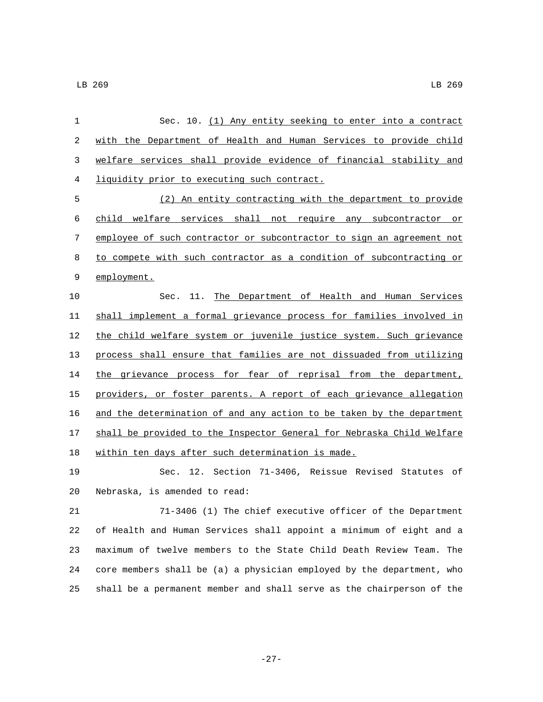| $\mathbf{1}$ | Sec. 10. (1) Any entity seeking to enter into a contract               |
|--------------|------------------------------------------------------------------------|
| 2            | with the Department of Health and Human Services to provide child      |
| 3            | welfare services shall provide evidence of financial stability and     |
| 4            | liquidity prior to executing such contract.                            |
| 5            | (2) An entity contracting with the department to provide               |
| 6            | child welfare services shall not require any subcontractor or          |
| 7            | employee of such contractor or subcontractor to sign an agreement not  |
| 8            | to compete with such contractor as a condition of subcontracting or    |
| 9            | employment.                                                            |
| 10           | 11.<br>The Department of Health and Human Services<br>Sec.             |
| 11           | shall implement a formal grievance process for families involved in    |
| 12           | the child welfare system or juvenile justice system. Such grievance    |
| 13           | process shall ensure that families are not dissuaded from utilizing    |
| 14           | the grievance process for fear of reprisal from the department,        |
| 15           | providers, or foster parents. A report of each grievance allegation    |
| 16           | and the determination of and any action to be taken by the department  |
| 17           | shall be provided to the Inspector General for Nebraska Child Welfare  |
| 18           | within ten days after such determination is made.                      |
| 19           | Sec. 12. Section 71-3406, Reissue Revised Statutes of                  |
| 20           | Nebraska, is amended to read:                                          |
| 21           | 71-3406 (1) The chief executive officer of the Department              |
| 22           | of Health and Human Services shall appoint a minimum of eight and a    |
| 23           | maximum of twelve members to the State Child Death Review Team.<br>The |
| 24           | core members shall be (a) a physician employed by the department, who  |
| 25           | shall be a permanent member and shall serve as the chairperson of the  |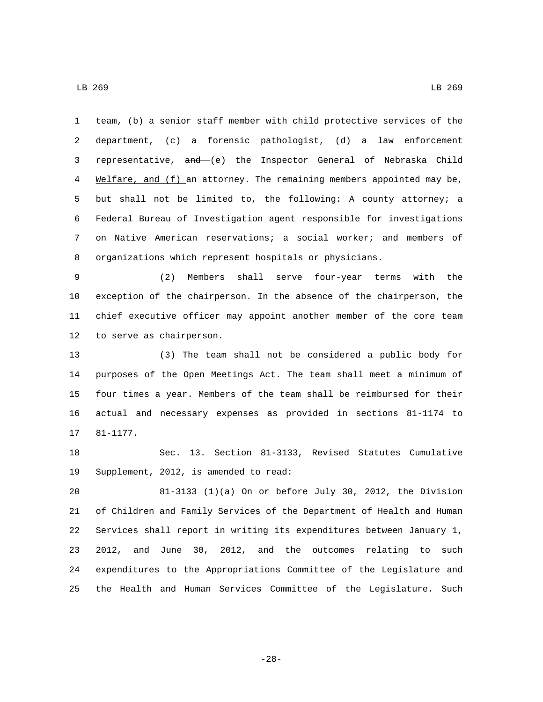LB 269 LB 269

 team, (b) a senior staff member with child protective services of the department, (c) a forensic pathologist, (d) a law enforcement representative, and (e) the Inspector General of Nebraska Child Welfare, and (f) an attorney. The remaining members appointed may be, but shall not be limited to, the following: A county attorney; a Federal Bureau of Investigation agent responsible for investigations on Native American reservations; a social worker; and members of organizations which represent hospitals or physicians.

 (2) Members shall serve four-year terms with the exception of the chairperson. In the absence of the chairperson, the chief executive officer may appoint another member of the core team 12 to serve as chairperson.

 (3) The team shall not be considered a public body for purposes of the Open Meetings Act. The team shall meet a minimum of four times a year. Members of the team shall be reimbursed for their actual and necessary expenses as provided in sections 81-1174 to 17 81-1177.

 Sec. 13. Section 81-3133, Revised Statutes Cumulative 19 Supplement, 2012, is amended to read:

 81-3133 (1)(a) On or before July 30, 2012, the Division of Children and Family Services of the Department of Health and Human Services shall report in writing its expenditures between January 1, 2012, and June 30, 2012, and the outcomes relating to such expenditures to the Appropriations Committee of the Legislature and the Health and Human Services Committee of the Legislature. Such

-28-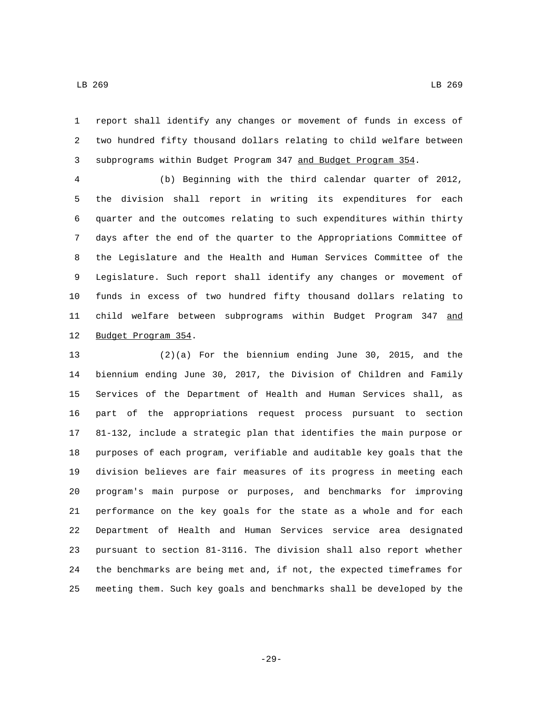report shall identify any changes or movement of funds in excess of two hundred fifty thousand dollars relating to child welfare between subprograms within Budget Program 347 and Budget Program 354.

 (b) Beginning with the third calendar quarter of 2012, the division shall report in writing its expenditures for each quarter and the outcomes relating to such expenditures within thirty days after the end of the quarter to the Appropriations Committee of the Legislature and the Health and Human Services Committee of the Legislature. Such report shall identify any changes or movement of funds in excess of two hundred fifty thousand dollars relating to 11 child welfare between subprograms within Budget Program 347 and 12 Budget Program 354.

 (2)(a) For the biennium ending June 30, 2015, and the biennium ending June 30, 2017, the Division of Children and Family Services of the Department of Health and Human Services shall, as part of the appropriations request process pursuant to section 81-132, include a strategic plan that identifies the main purpose or purposes of each program, verifiable and auditable key goals that the division believes are fair measures of its progress in meeting each program's main purpose or purposes, and benchmarks for improving performance on the key goals for the state as a whole and for each Department of Health and Human Services service area designated pursuant to section 81-3116. The division shall also report whether the benchmarks are being met and, if not, the expected timeframes for meeting them. Such key goals and benchmarks shall be developed by the

-29-